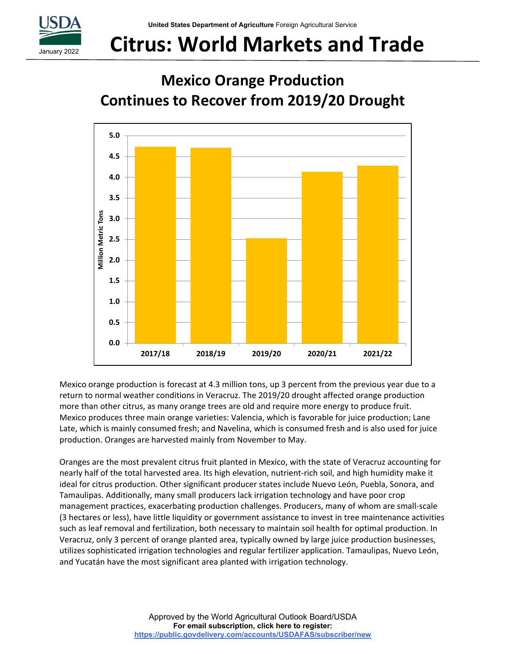

# **Citrus: World Markets and Trade**

## **Mexico Orange Production Continues to Recover from 2019/20 Drought**



Mexico orange production is forecast at 4.3 million tons, up 3 percent from the previous year due to a return to normal weather conditions in Veracruz. The 2019/20 drought affected orange production more than other citrus, as many orange trees are old and require more energy to produce fruit. Mexico produces three main orange varieties: Valencia, which is favorable for juice production; Lane Late, which is mainly consumed fresh; and Navelina, which is consumed fresh and is also used for juice production. Oranges are harvested mainly from November to May.

Oranges are the most prevalent citrus fruit planted in Mexico, with the state of Veracruz accounting for nearly half of the total harvested area. Its high elevation, nutrient-rich soil, and high humidity make it ideal for citrus production. Other significant producer states include Nuevo León, Puebla, Sonora, and Tamaulipas. Additionally, many small producers lack irrigation technology and have poor crop management practices, exacerbating production challenges. Producers, many of whom are small‐scale (3 hectares or less), have little liquidity or government assistance to invest in tree maintenance activities such as leaf removal and fertilization, both necessary to maintain soil health for optimal production. In Veracruz, only 3 percent of orange planted area, typically owned by large juice production businesses, utilizes sophisticated irrigation technologies and regular fertilizer application. Tamaulipas, Nuevo León, and Yucatán have the most significant area planted with irrigation technology.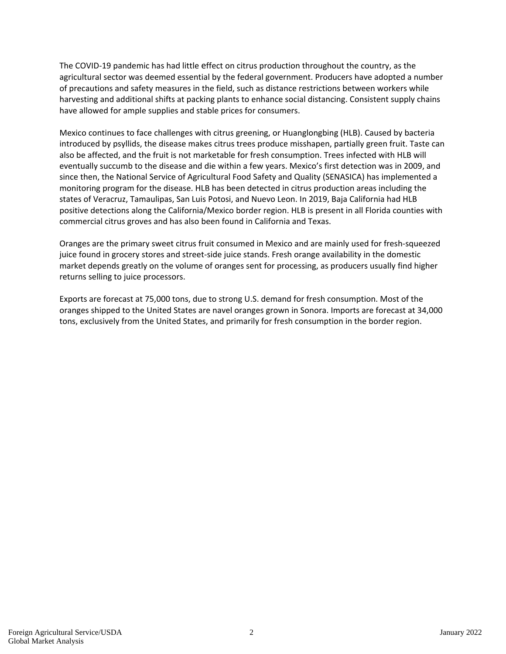The COVID‐19 pandemic has had little effect on citrus production throughout the country, as the agricultural sector was deemed essential by the federal government. Producers have adopted a number of precautions and safety measures in the field, such as distance restrictions between workers while harvesting and additional shifts at packing plants to enhance social distancing. Consistent supply chains have allowed for ample supplies and stable prices for consumers.

Mexico continues to face challenges with citrus greening, or Huanglongbing (HLB). Caused by bacteria introduced by psyllids, the disease makes citrus trees produce misshapen, partially green fruit. Taste can also be affected, and the fruit is not marketable for fresh consumption. Trees infected with HLB will eventually succumb to the disease and die within a few years. Mexico's first detection was in 2009, and since then, the National Service of Agricultural Food Safety and Quality (SENASICA) has implemented a monitoring program for the disease. HLB has been detected in citrus production areas including the states of Veracruz, Tamaulipas, San Luis Potosi, and Nuevo Leon. In 2019, Baja California had HLB positive detections along the California/Mexico border region. HLB is present in all Florida counties with commercial citrus groves and has also been found in California and Texas.

Oranges are the primary sweet citrus fruit consumed in Mexico and are mainly used for fresh‐squeezed juice found in grocery stores and street‐side juice stands. Fresh orange availability in the domestic market depends greatly on the volume of oranges sent for processing, as producers usually find higher returns selling to juice processors.

Exports are forecast at 75,000 tons, due to strong U.S. demand for fresh consumption. Most of the oranges shipped to the United States are navel oranges grown in Sonora. Imports are forecast at 34,000 tons, exclusively from the United States, and primarily for fresh consumption in the border region.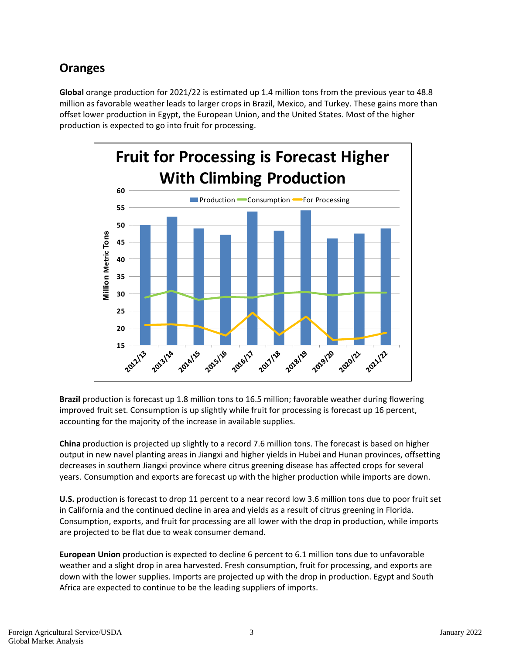### **Oranges**

**Global** orange production for 2021/22 is estimated up 1.4 million tons from the previous year to 48.8 million as favorable weather leads to larger crops in Brazil, Mexico, and Turkey. These gains more than offset lower production in Egypt, the European Union, and the United States. Most of the higher production is expected to go into fruit for processing.



**Brazil** production is forecast up 1.8 million tons to 16.5 million; favorable weather during flowering improved fruit set. Consumption is up slightly while fruit for processing is forecast up 16 percent, accounting for the majority of the increase in available supplies.

**China** production is projected up slightly to a record 7.6 million tons. The forecast is based on higher output in new navel planting areas in Jiangxi and higher yields in Hubei and Hunan provinces, offsetting decreases in southern Jiangxi province where citrus greening disease has affected crops for several years. Consumption and exports are forecast up with the higher production while imports are down.

**U.S.** production is forecast to drop 11 percent to a near record low 3.6 million tons due to poor fruit set in California and the continued decline in area and yields as a result of citrus greening in Florida. Consumption, exports, and fruit for processing are all lower with the drop in production, while imports are projected to be flat due to weak consumer demand.

**European Union** production is expected to decline 6 percent to 6.1 million tons due to unfavorable weather and a slight drop in area harvested. Fresh consumption, fruit for processing, and exports are down with the lower supplies. Imports are projected up with the drop in production. Egypt and South Africa are expected to continue to be the leading suppliers of imports.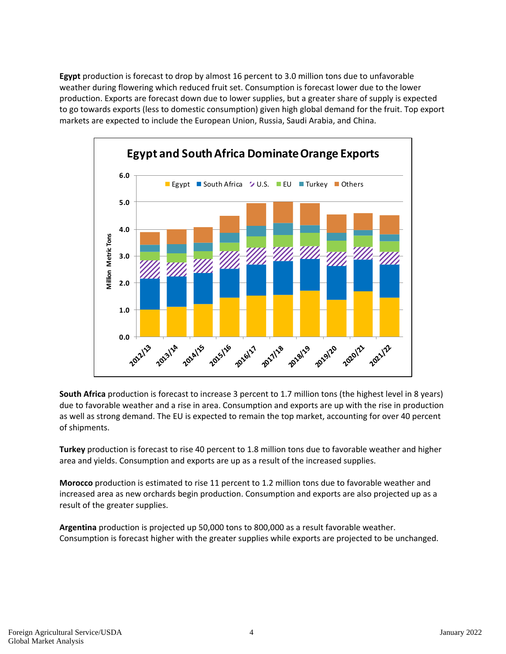**Egypt** production is forecast to drop by almost 16 percent to 3.0 million tons due to unfavorable weather during flowering which reduced fruit set. Consumption is forecast lower due to the lower production. Exports are forecast down due to lower supplies, but a greater share of supply is expected to go towards exports (less to domestic consumption) given high global demand for the fruit. Top export markets are expected to include the European Union, Russia, Saudi Arabia, and China.



**South Africa** production is forecast to increase 3 percent to 1.7 million tons (the highest level in 8 years) due to favorable weather and a rise in area. Consumption and exports are up with the rise in production as well as strong demand. The EU is expected to remain the top market, accounting for over 40 percent of shipments.

**Turkey** production is forecast to rise 40 percent to 1.8 million tons due to favorable weather and higher area and yields. Consumption and exports are up as a result of the increased supplies.

**Morocco** production is estimated to rise 11 percent to 1.2 million tons due to favorable weather and increased area as new orchards begin production. Consumption and exports are also projected up as a result of the greater supplies.

**Argentina** production is projected up 50,000 tons to 800,000 as a result favorable weather. Consumption is forecast higher with the greater supplies while exports are projected to be unchanged.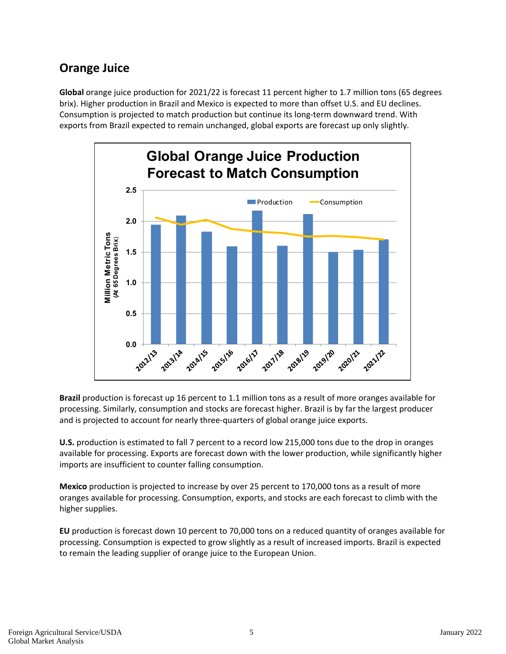### **Orange Juice**

**Global** orange juice production for 2021/22 is forecast 11 percent higher to 1.7 million tons (65 degrees brix). Higher production in Brazil and Mexico is expected to more than offset U.S. and EU declines. Consumption is projected to match production but continue its long‐term downward trend. With exports from Brazil expected to remain unchanged, global exports are forecast up only slightly.



**Brazil** production is forecast up 16 percent to 1.1 million tons as a result of more oranges available for processing. Similarly, consumption and stocks are forecast higher. Brazil is by far the largest producer and is projected to account for nearly three‐quarters of global orange juice exports.

**U.S.** production is estimated to fall 7 percent to a record low 215,000 tons due to the drop in oranges available for processing. Exports are forecast down with the lower production, while significantly higher imports are insufficient to counter falling consumption.

**Mexico** production is projected to increase by over 25 percent to 170,000 tons as a result of more oranges available for processing. Consumption, exports, and stocks are each forecast to climb with the higher supplies.

**EU** production is forecast down 10 percent to 70,000 tons on a reduced quantity of oranges available for processing. Consumption is expected to grow slightly as a result of increased imports. Brazil is expected to remain the leading supplier of orange juice to the European Union.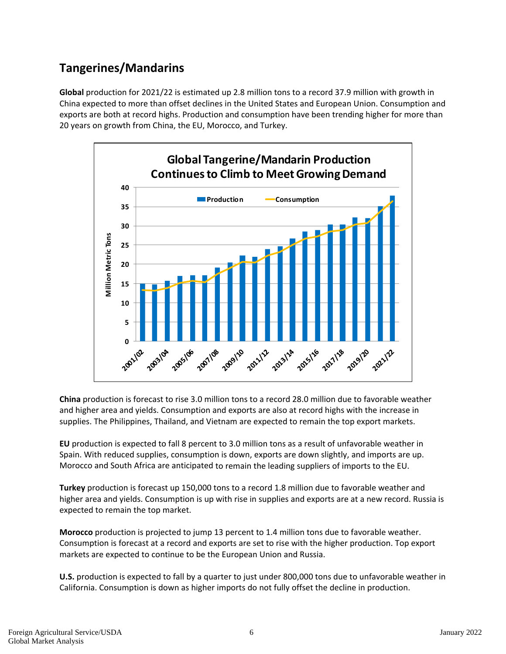### **Tangerines/Mandarins**

**Global** production for 2021/22 is estimated up 2.8 million tons to a record 37.9 million with growth in China expected to more than offset declines in the United States and European Union. Consumption and exports are both at record highs. Production and consumption have been trending higher for more than 20 years on growth from China, the EU, Morocco, and Turkey.



**China** production is forecast to rise 3.0 million tons to a record 28.0 million due to favorable weather and higher area and yields. Consumption and exports are also at record highs with the increase in supplies. The Philippines, Thailand, and Vietnam are expected to remain the top export markets.

**EU** production is expected to fall 8 percent to 3.0 million tons as a result of unfavorable weather in Spain. With reduced supplies, consumption is down, exports are down slightly, and imports are up. Morocco and South Africa are anticipated to remain the leading suppliers of imports to the EU.

**Turkey** production is forecast up 150,000 tons to a record 1.8 million due to favorable weather and higher area and yields. Consumption is up with rise in supplies and exports are at a new record. Russia is expected to remain the top market.

**Morocco** production is projected to jump 13 percent to 1.4 million tons due to favorable weather. Consumption is forecast at a record and exports are set to rise with the higher production. Top export markets are expected to continue to be the European Union and Russia.

**U.S.** production is expected to fall by a quarter to just under 800,000 tons due to unfavorable weather in California. Consumption is down as higher imports do not fully offset the decline in production.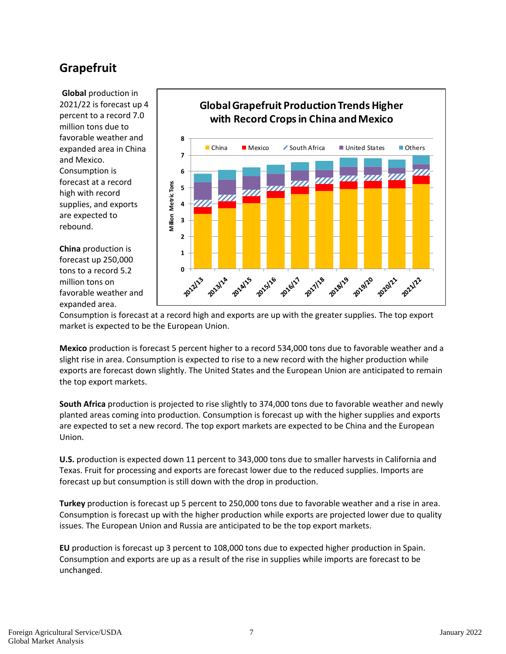### **Grapefruit**

**Global** production in 2021/22 is forecast up 4 percent to a record 7.0 million tons due to favorable weather and expanded area in China and Mexico. Consumption is forecast at a record high with record supplies, and exports are expected to rebound.

**China** production is forecast up 250,000 tons to a record 5.2 million tons on favorable weather and expanded area.



Consumption is forecast at a record high and exports are up with the greater supplies. The top export market is expected to be the European Union.

**Mexico** production is forecast 5 percent higher to a record 534,000 tons due to favorable weather and a slight rise in area. Consumption is expected to rise to a new record with the higher production while exports are forecast down slightly. The United States and the European Union are anticipated to remain the top export markets.

**South Africa** production is projected to rise slightly to 374,000 tons due to favorable weather and newly planted areas coming into production. Consumption is forecast up with the higher supplies and exports are expected to set a new record. The top export markets are expected to be China and the European Union.

**U.S.** production is expected down 11 percent to 343,000 tons due to smaller harvests in California and Texas. Fruit for processing and exports are forecast lower due to the reduced supplies. Imports are forecast up but consumption is still down with the drop in production.

**Turkey** production is forecast up 5 percent to 250,000 tons due to favorable weather and a rise in area. Consumption is forecast up with the higher production while exports are projected lower due to quality issues. The European Union and Russia are anticipated to be the top export markets.

**EU** production is forecast up 3 percent to 108,000 tons due to expected higher production in Spain. Consumption and exports are up as a result of the rise in supplies while imports are forecast to be unchanged.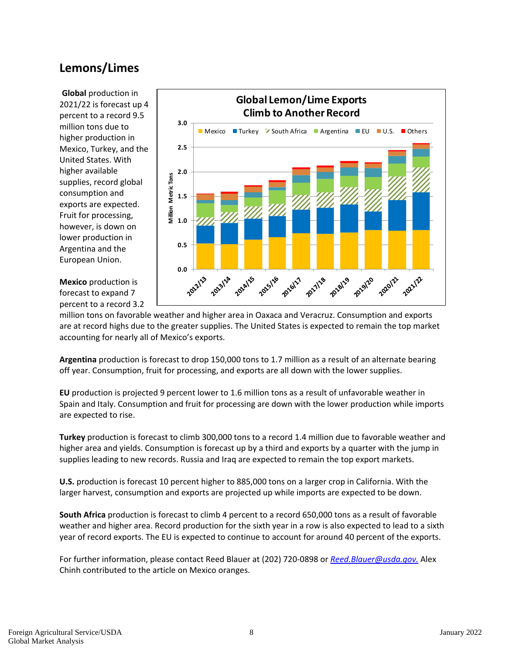### **Lemons/Limes**

**Global** production in 2021/22 is forecast up 4 percent to a record 9.5 million tons due to higher production in Mexico, Turkey, and the United States. With higher available supplies, record global consumption and exports are expected. Fruit for processing, however, is down on lower production in Argentina and the European Union.



**Mexico** production is forecast to expand 7 percent to a record 3.2

million tons on favorable weather and higher area in Oaxaca and Veracruz. Consumption and exports are at record highs due to the greater supplies. The United States is expected to remain the top market accounting for nearly all of Mexico's exports.

**Argentina** production is forecast to drop 150,000 tons to 1.7 million as a result of an alternate bearing off year. Consumption, fruit for processing, and exports are all down with the lower supplies.

**EU** production is projected 9 percent lower to 1.6 million tons as a result of unfavorable weather in Spain and Italy. Consumption and fruit for processing are down with the lower production while imports are expected to rise.

**Turkey** production is forecast to climb 300,000 tons to a record 1.4 million due to favorable weather and higher area and yields. Consumption is forecast up by a third and exports by a quarter with the jump in supplies leading to new records. Russia and Iraq are expected to remain the top export markets.

**U.S.** production is forecast 10 percent higher to 885,000 tons on a larger crop in California. With the larger harvest, consumption and exports are projected up while imports are expected to be down.

**South Africa** production is forecast to climb 4 percent to a record 650,000 tons as a result of favorable weather and higher area. Record production for the sixth year in a row is also expected to lead to a sixth year of record exports. The EU is expected to continue to account for around 40 percent of the exports.

For further information, please contact Reed Blauer at (202) 720‐0898 or *Reed.Blauer@usda.gov.* Alex Chinh contributed to the article on Mexico oranges.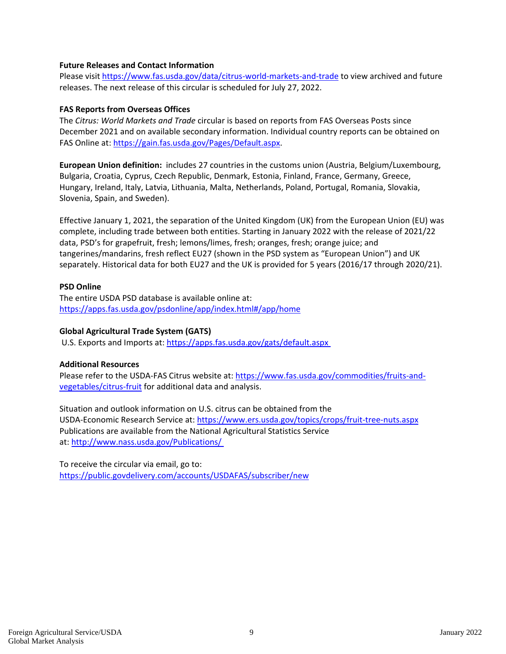#### **Future Releases and Contact Information**

Please visit https://www.fas.usda.gov/data/citrus-world-markets-and-trade to view archived and future releases. The next release of this circular is scheduled for July 27, 2022.

#### **FAS Reports from Overseas Offices**

The *Citrus: World Markets and Trade* circular is based on reports from FAS Overseas Posts since December 2021 and on available secondary information. Individual country reports can be obtained on FAS Online at: https://gain.fas.usda.gov/Pages/Default.aspx.

**European Union definition:** includes 27 countries in the customs union (Austria, Belgium/Luxembourg, Bulgaria, Croatia, Cyprus, Czech Republic, Denmark, Estonia, Finland, France, Germany, Greece, Hungary, Ireland, Italy, Latvia, Lithuania, Malta, Netherlands, Poland, Portugal, Romania, Slovakia, Slovenia, Spain, and Sweden).

Effective January 1, 2021, the separation of the United Kingdom (UK) from the European Union (EU) was complete, including trade between both entities. Starting in January 2022 with the release of 2021/22 data, PSD's for grapefruit, fresh; lemons/limes, fresh; oranges, fresh; orange juice; and tangerines/mandarins, fresh reflect EU27 (shown in the PSD system as "European Union") and UK separately. Historical data for both EU27 and the UK is provided for 5 years (2016/17 through 2020/21).

#### **PSD Online**

The entire USDA PSD database is available online at: https://apps.fas.usda.gov/psdonline/app/index.html#/app/home

#### **Global Agricultural Trade System (GATS)**

U.S. Exports and Imports at: https://apps.fas.usda.gov/gats/default.aspx

#### **Additional Resources**

Please refer to the USDA‐FAS Citrus website at: https://www.fas.usda.gov/commodities/fruits‐and‐ vegetables/citrus‐fruit for additional data and analysis.

Situation and outlook information on U.S. citrus can be obtained from the USDA‐Economic Research Service at: https://www.ers.usda.gov/topics/crops/fruit‐tree‐nuts.aspx Publications are available from the National Agricultural Statistics Service at: http://www.nass.usda.gov/Publications/

To receive the circular via email, go to: https://public.govdelivery.com/accounts/USDAFAS/subscriber/new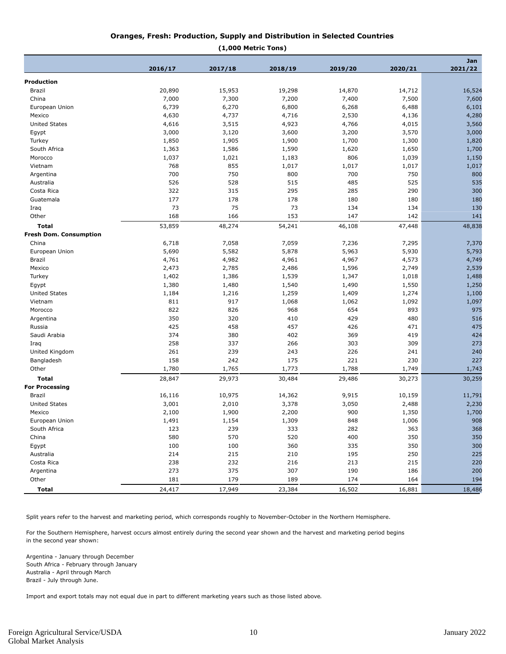#### **Oranges, Fresh: Production, Supply and Distribution in Selected Countries**

**(1,000 Metric Tons)**

|                               |         |         |         |         |         | Jan     |
|-------------------------------|---------|---------|---------|---------|---------|---------|
|                               | 2016/17 | 2017/18 | 2018/19 | 2019/20 | 2020/21 | 2021/22 |
| <b>Production</b>             |         |         |         |         |         |         |
| <b>Brazil</b>                 | 20,890  | 15,953  | 19,298  | 14,870  | 14,712  | 16,524  |
| China                         | 7,000   | 7,300   | 7,200   | 7,400   | 7,500   | 7,600   |
| European Union                | 6,739   | 6,270   | 6,800   | 6,268   | 6,488   | 6,101   |
| Mexico                        | 4,630   | 4,737   | 4,716   | 2,530   | 4,136   | 4,280   |
| <b>United States</b>          | 4,616   | 3,515   | 4,923   | 4,766   | 4,015   | 3,560   |
| Egypt                         | 3,000   | 3,120   | 3,600   | 3,200   | 3,570   | 3,000   |
| Turkey                        | 1,850   | 1,905   | 1,900   | 1,700   | 1,300   | 1,820   |
| South Africa                  | 1,363   | 1,586   | 1,590   | 1,620   | 1,650   | 1,700   |
| Morocco                       | 1,037   | 1,021   | 1,183   | 806     | 1,039   | 1,150   |
| Vietnam                       | 768     | 855     | 1,017   | 1,017   | 1,017   | 1,017   |
| Argentina                     | 700     | 750     | 800     | 700     | 750     | 800     |
| Australia                     | 526     | 528     | 515     | 485     | 525     | 535     |
| Costa Rica                    | 322     | 315     | 295     | 285     | 290     | 300     |
| Guatemala                     | 177     | 178     | 178     | 180     | 180     | 180     |
| Iraq                          | 73      | 75      | 73      | 134     | 134     | 130     |
| Other                         | 168     | 166     | 153     | 147     | 142     | 141     |
| <b>Total</b>                  | 53,859  | 48,274  | 54,241  | 46,108  | 47,448  | 48,838  |
| <b>Fresh Dom. Consumption</b> |         |         |         |         |         |         |
| China                         | 6,718   | 7,058   | 7,059   | 7,236   | 7,295   | 7,370   |
| European Union                | 5,690   | 5,582   | 5,878   | 5,963   | 5,930   | 5,793   |
| Brazil                        | 4,761   | 4,982   | 4,961   | 4,967   | 4,573   | 4,749   |
| Mexico                        | 2,473   | 2,785   | 2,486   | 1,596   | 2,749   | 2,539   |
| Turkey                        | 1,402   | 1,386   | 1,539   | 1,347   | 1,018   | 1,488   |
| Egypt                         | 1,380   | 1,480   | 1,540   | 1,490   | 1,550   | 1,250   |
| <b>United States</b>          | 1,184   | 1,216   | 1,259   | 1,409   | 1,274   | 1,100   |
| Vietnam                       | 811     | 917     | 1,068   | 1,062   | 1,092   | 1,097   |
| Morocco                       | 822     | 826     | 968     | 654     | 893     | 975     |
| Argentina                     | 350     | 320     | 410     | 429     | 480     | 516     |
| Russia                        | 425     | 458     | 457     | 426     | 471     | 475     |
| Saudi Arabia                  | 374     | 380     | 402     | 369     | 419     | 424     |
| Iraq                          | 258     | 337     | 266     | 303     | 309     | 273     |
| United Kingdom                | 261     | 239     | 243     | 226     | 241     | 240     |
| Bangladesh                    | 158     | 242     | 175     | 221     | 230     | 227     |
| Other                         | 1,780   | 1,765   | 1,773   | 1,788   | 1,749   | 1,743   |
| <b>Total</b>                  | 28,847  | 29,973  | 30,484  | 29,486  | 30,273  | 30,259  |
| <b>For Processing</b>         |         |         |         |         |         |         |
| Brazil                        | 16,116  | 10,975  | 14,362  | 9,915   | 10,159  | 11,791  |
| <b>United States</b>          | 3,001   | 2,010   | 3,378   | 3,050   | 2,488   | 2,230   |
| Mexico                        | 2,100   | 1,900   | 2,200   | 900     | 1,350   | 1,700   |
| European Union                | 1,491   | 1,154   | 1,309   | 848     | 1,006   | 908     |
| South Africa                  | 123     | 239     | 333     | 282     | 363     | 368     |
| China                         | 580     | 570     | 520     | 400     | 350     | 350     |
| Egypt                         | 100     | 100     | 360     | 335     | 350     | 300     |
| Australia                     | 214     | 215     | 210     | 195     | 250     | 225     |
| Costa Rica                    | 238     | 232     | 216     | 213     | 215     | 220     |
| Argentina                     | 273     | 375     | 307     | 190     | 186     | 200     |
| Other                         | 181     | 179     | 189     | 174     | 164     | 194     |
| <b>Total</b>                  | 24,417  | 17,949  | 23,384  | 16,502  | 16,881  | 18,486  |

Split years refer to the harvest and marketing period, which corresponds roughly to November-October in the Northern Hemisphere.

For the Southern Hemisphere, harvest occurs almost entirely during the second year shown and the harvest and marketing period begins in the second year shown:

Argentina - January through December South Africa - February through January Australia - April through March Brazil - July through June.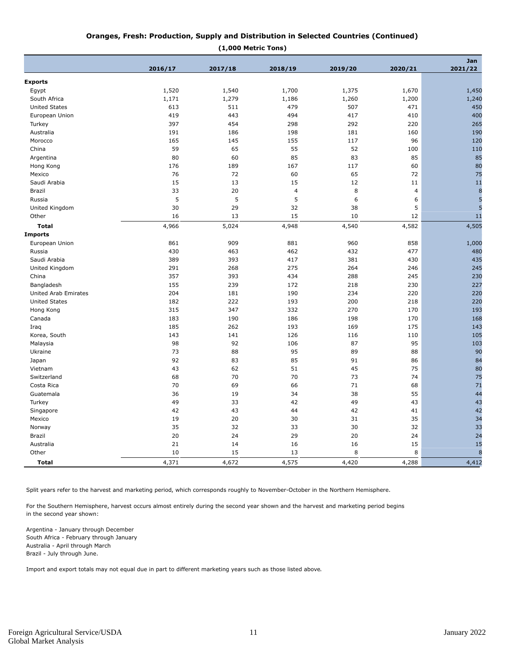#### **Oranges, Fresh: Production, Supply and Distribution in Selected Countries (Continued)**

| (1,000 Metric Tons) |  |
|---------------------|--|
|                     |  |

|                      |         |         |         |         |                | <b>Jan</b> |
|----------------------|---------|---------|---------|---------|----------------|------------|
|                      | 2016/17 | 2017/18 | 2018/19 | 2019/20 | 2020/21        | 2021/22    |
| <b>Exports</b>       |         |         |         |         |                |            |
| Egypt                | 1,520   | 1,540   | 1,700   | 1,375   | 1,670          | 1,450      |
| South Africa         | 1,171   | 1,279   | 1,186   | 1,260   | 1,200          | 1,240      |
| <b>United States</b> | 613     | 511     | 479     | 507     | 471            | 450        |
| European Union       | 419     | 443     | 494     | 417     | 410            | 400        |
| Turkey               | 397     | 454     | 298     | 292     | 220            | 265        |
| Australia            | 191     | 186     | 198     | 181     | 160            | 190        |
| Morocco              | 165     | 145     | 155     | 117     | 96             | 120        |
| China                | 59      | 65      | 55      | 52      | 100            | 110        |
| Argentina            | 80      | 60      | 85      | 83      | 85             | 85         |
| Hong Kong            | 176     | 189     | 167     | 117     | 60             | 80         |
| Mexico               | 76      | 72      | 60      | 65      | 72             | 75         |
| Saudi Arabia         | 15      | 13      | 15      | 12      | 11             | 11         |
| Brazil               | 33      | 20      | 4       | 8       | $\overline{4}$ | 8          |
| Russia               | 5       | 5       | 5       | 6       | 6              | 5          |
| United Kingdom       | 30      | 29      | 32      | 38      | 5              | 5          |
| Other                | 16      | 13      | 15      | 10      | 12             | 11         |
| <b>Total</b>         | 4,966   | 5,024   | 4,948   | 4,540   | 4,582          | 4,505      |
| <b>Imports</b>       |         |         |         |         |                |            |
| European Union       | 861     | 909     | 881     | 960     | 858            | 1,000      |
| Russia               | 430     | 463     | 462     | 432     | 477            | 480        |
| Saudi Arabia         | 389     | 393     | 417     | 381     | 430            | 435        |
| United Kingdom       | 291     | 268     | 275     | 264     | 246            | 245        |
| China                | 357     | 393     | 434     | 288     | 245            | 230        |
| Bangladesh           | 155     | 239     | 172     | 218     | 230            | 227        |
| United Arab Emirates | 204     | 181     | 190     | 234     | 220            | 220        |
| <b>United States</b> | 182     | 222     | 193     | 200     | 218            | 220        |
| Hong Kong            | 315     | 347     | 332     | 270     | 170            | 193        |
| Canada               | 183     | 190     | 186     | 198     | 170            | 168        |
| Iraq                 | 185     | 262     | 193     | 169     | 175            | 143        |
| Korea, South         | 143     | 141     | 126     | 116     | 110            | 105        |
| Malaysia             | 98      | 92      | 106     | 87      | 95             | 103        |
| Ukraine              | 73      | 88      | 95      | 89      | 88             | 90         |
| Japan                | 92      | 83      | 85      | 91      | 86             | 84         |
| Vietnam              | 43      | 62      | 51      | 45      | 75             | 80         |
| Switzerland          | 68      | 70      | 70      | 73      | 74             | 75         |
| Costa Rica           | 70      | 69      | 66      | 71      | 68             | 71         |
| Guatemala            | 36      | 19      | 34      | 38      | 55             | 44         |
| Turkey               | 49      | 33      | 42      | 49      | 43             | 43         |
| Singapore            | 42      | 43      | 44      | 42      | 41             | 42         |
| Mexico               | 19      | 20      | 30      | 31      | 35             | 34         |
| Norway               | 35      | 32      | 33      | 30      | 32             | 33         |
| Brazil               | 20      | 24      | 29      | 20      | 24             | 24         |
| Australia            | 21      | 14      | 16      |         | 15             | 15         |
| Other                | 10      | 15      | 13      | 16<br>8 | 8              | 8          |
|                      |         |         |         |         |                |            |
| <b>Total</b>         | 4,371   | 4,672   | 4,575   | 4,420   | 4,288          | 4,412      |

Split years refer to the harvest and marketing period, which corresponds roughly to November-October in the Northern Hemisphere.

For the Southern Hemisphere, harvest occurs almost entirely during the second year shown and the harvest and marketing period begins in the second year shown:

Argentina - January through December South Africa - February through January Australia - April through March Brazil - July through June.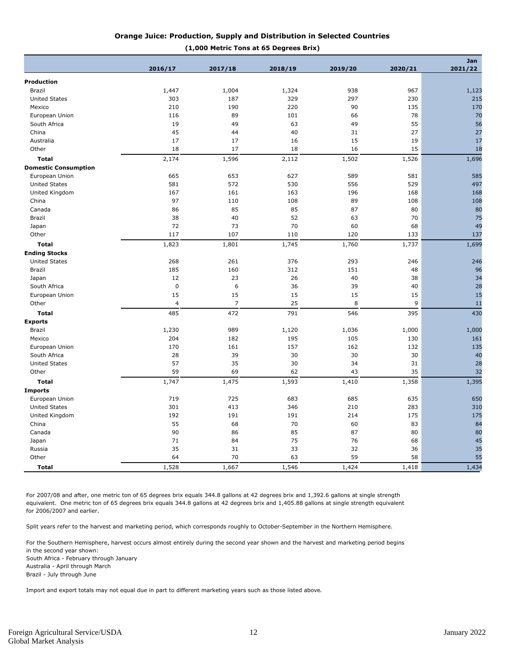#### **Orange Juice: Production, Supply and Distribution in Selected Countries**

#### **(1,000 Metric Tons at 65 Degrees Brix)**

|                             |                |                |         |         |         | Jan     |  |  |
|-----------------------------|----------------|----------------|---------|---------|---------|---------|--|--|
|                             | 2016/17        | 2017/18        | 2018/19 | 2019/20 | 2020/21 | 2021/22 |  |  |
| <b>Production</b>           |                |                |         |         |         |         |  |  |
| Brazil                      | 1,447          | 1,004          | 1,324   | 938     | 967     | 1,123   |  |  |
| <b>United States</b>        | 303            | 187            | 329     | 297     | 230     | 215     |  |  |
| Mexico                      | 210            | 190            | 220     | 90      | 135     | 170     |  |  |
| European Union              | 116            | 89             | 101     | 66      | 78      | 70      |  |  |
| South Africa                | 19             | 49             | 63      | 49      | 55      | 56      |  |  |
| China                       | 45             | 44             | 40      | 31      | 27      | 27      |  |  |
| Australia                   | 17             | 17             | 16      | 15      | 19      | 17      |  |  |
| Other                       | 18             | 17             | 18      | 16      | 15      | 18      |  |  |
| <b>Total</b>                | 2,174          | 1,596          | 2,112   | 1,502   | 1,526   | 1,696   |  |  |
| <b>Domestic Consumption</b> |                |                |         |         |         |         |  |  |
| European Union              | 665            | 653            | 627     | 589     | 581     | 585     |  |  |
| <b>United States</b>        | 581            | 572            | 530     | 556     | 529     | 497     |  |  |
| United Kingdom              | 167            | 161            | 163     | 196     | 168     | 168     |  |  |
| China                       | 97             | 110            | 108     | 89      | 108     | 108     |  |  |
| Canada                      | 86             | 85             | 85      | 87      | 80      | 80      |  |  |
| Brazil                      | 38             | 40             | 52      | 63      | 70      | 75      |  |  |
| Japan                       | 72             | 73             | 70      | 60      | 68      | 49      |  |  |
| Other                       | 117            | 107            | 110     | 120     | 133     | 137     |  |  |
| <b>Total</b>                | 1,823          | 1,801          | 1,745   | 1,760   | 1,737   | 1,699   |  |  |
| <b>Ending Stocks</b>        |                |                |         |         |         |         |  |  |
| <b>United States</b>        | 268            | 261            | 376     | 293     | 246     | 246     |  |  |
| <b>Brazil</b>               | 185            | 160            | 312     | 151     | 48      | 96      |  |  |
| Japan                       | 12             | 23             | 26      | 40      | 38      | 34      |  |  |
| South Africa                | $\mathbf 0$    | 6              | 36      | 39      | 40      | 28      |  |  |
| European Union              | 15             | 15             | 15      | 15      | 15      | 15      |  |  |
| Other                       | $\overline{4}$ | $\overline{7}$ | 25      | 8       | 9       | 11      |  |  |
| <b>Total</b>                | 485            | 472            | 791     | 546     | 395     | 430     |  |  |
| <b>Exports</b>              |                |                |         |         |         |         |  |  |
| Brazil                      | 1,230          | 989            | 1,120   | 1,036   | 1,000   | 1,000   |  |  |
| Mexico                      | 204            | 182            | 195     | 105     | 130     | 161     |  |  |
| European Union              | 170            | 161            | 157     | 162     | 132     | 135     |  |  |
| South Africa                | 28             | 39             | 30      | 30      | 30      | 40      |  |  |
| <b>United States</b>        | 57             | 35             | 30      | 34      | 31      | 28      |  |  |
| Other                       | 59             | 69             | 62      | 43      | 35      | 32      |  |  |
| <b>Total</b>                | 1,747          | 1,475          | 1,593   | 1,410   | 1,358   | 1,395   |  |  |
| <b>Imports</b>              |                |                |         |         |         |         |  |  |
| European Union              | 719            | 725            | 683     | 685     | 635     | 650     |  |  |
| <b>United States</b>        | 301            | 413            | 346     | 210     | 283     | 310     |  |  |
| United Kingdom              | 192            | 191            | 191     | 214     | 175     | 175     |  |  |
| China                       | 55             | 68             | 70      | 60      | 83      | 84      |  |  |
| Canada                      | 90             | 86             | 85      | 87      | 80      | 80      |  |  |
| Japan                       | 71             | 84             | 75      | 76      | 68      | 45      |  |  |
| Russia                      | 35             | 31             | 33      | 32      | 36      | 35      |  |  |
| Other                       | 64             | 70             | 63      | 59      | 58      | 55      |  |  |
| <b>Total</b>                | 1,528          | 1,667          | 1,546   | 1,424   | 1,418   | 1,434   |  |  |

For 2007/08 and after, one metric ton of 65 degrees brix equals 344.8 gallons at 42 degrees brix and 1,392.6 gallons at single strength equivalent. One metric ton of 65 degrees brix equals 344.8 gallons at 42 degrees brix and 1,405.88 gallons at single strength equivalent for 2006/2007 and earlier.

Split years refer to the harvest and marketing period, which corresponds roughly to October-September in the Northern Hemisphere.

For the Southern Hemisphere, harvest occurs almost entirely during the second year shown and the harvest and marketing period begins in the second year shown: South Africa - February through January

Australia - April through March Brazil - July through June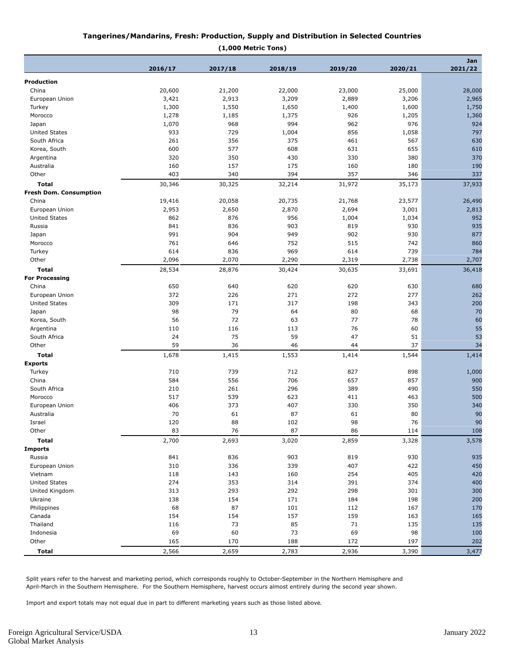#### **Tangerines/Mandarins, Fresh: Production, Supply and Distribution in Selected Countries**

**(1,000 Metric Tons)**

|                               |         |         |         |         |         | Jan     |  |
|-------------------------------|---------|---------|---------|---------|---------|---------|--|
|                               | 2016/17 | 2017/18 | 2018/19 | 2019/20 | 2020/21 | 2021/22 |  |
| Production                    |         |         |         |         |         |         |  |
| China                         | 20,600  | 21,200  | 22,000  | 23,000  | 25,000  | 28,000  |  |
| European Union                | 3,421   | 2,913   | 3,209   | 2,889   | 3,206   | 2,965   |  |
| Turkey                        | 1,300   | 1,550   | 1,650   | 1,400   | 1,600   | 1,750   |  |
| Morocco                       | 1,278   | 1,185   | 1,375   | 926     | 1,205   | 1,360   |  |
| Japan                         | 1,070   | 968     | 994     | 962     | 976     | 924     |  |
| <b>United States</b>          | 933     | 729     | 1,004   | 856     | 1,058   | 797     |  |
| South Africa                  | 261     | 356     | 375     | 461     | 567     | 630     |  |
| Korea, South                  | 600     | 577     | 608     | 631     | 655     | 610     |  |
| Argentina                     | 320     | 350     | 430     | 330     | 380     | 370     |  |
| Australia                     | 160     | 157     | 175     | 160     | 180     | 190     |  |
| Other                         | 403     | 340     | 394     | 357     | 346     | 337     |  |
|                               |         |         |         |         |         |         |  |
| Total                         | 30,346  | 30,325  | 32,214  | 31,972  | 35,173  | 37,933  |  |
| <b>Fresh Dom. Consumption</b> |         |         |         |         |         |         |  |
| China                         | 19,416  | 20,058  | 20,735  | 21,768  | 23,577  | 26,490  |  |
| European Union                | 2,953   | 2,650   | 2,870   | 2,694   | 3,001   | 2,813   |  |
| <b>United States</b>          | 862     | 876     | 956     | 1,004   | 1,034   | 952     |  |
| Russia                        | 841     | 836     | 903     | 819     | 930     | 935     |  |
| Japan                         | 991     | 904     | 949     | 902     | 930     | 877     |  |
| Morocco                       | 761     | 646     | 752     | 515     | 742     | 860     |  |
| Turkey                        | 614     | 836     | 969     | 614     | 739     | 784     |  |
| Other                         | 2,096   | 2,070   | 2,290   | 2,319   | 2,738   | 2,707   |  |
| <b>Total</b>                  | 28,534  | 28,876  | 30,424  | 30,635  | 33,691  | 36,418  |  |
| <b>For Processing</b>         |         |         |         |         |         |         |  |
| China                         | 650     | 640     | 620     | 620     | 630     | 680     |  |
| European Union                | 372     | 226     | 271     | 272     | 277     | 262     |  |
| <b>United States</b>          | 309     | 171     | 317     | 198     | 343     | 200     |  |
| Japan                         | 98      | 79      | 64      | 80      | 68      | 70      |  |
| Korea, South                  | 56      | 72      | 63      | 77      | 78      | 60      |  |
| Argentina                     | 110     | 116     | 113     | 76      | 60      | 55      |  |
| South Africa                  | 24      | 75      | 59      | 47      | 51      | 53      |  |
| Other                         | 59      | 36      | 46      | 44      | 37      | 34      |  |
| <b>Total</b>                  | 1,678   | 1,415   | 1,553   | 1,414   | 1,544   | 1,414   |  |
| <b>Exports</b>                |         |         |         |         |         |         |  |
| Turkey                        | 710     | 739     | 712     | 827     | 898     | 1,000   |  |
| China                         | 584     | 556     | 706     | 657     | 857     | 900     |  |
| South Africa                  | 210     | 261     | 296     | 389     | 490     | 550     |  |
| Morocco                       | 517     | 539     | 623     | 411     | 463     | 500     |  |
| European Union                | 406     | 373     | 407     | 330     | 350     | 340     |  |
| Australia                     | 70      | 61      | 87      | 61      | 80      | 90      |  |
| Israel                        | 120     | 88      | 102     | 98      | 76      | 90      |  |
| Other                         | 83      | 76      | 87      | 86      | 114     | 108     |  |
| <b>Total</b>                  | 2,700   | 2,693   | 3,020   | 2,859   | 3,328   | 3,578   |  |
| <b>Imports</b>                |         |         |         |         |         |         |  |
| Russia                        | 841     | 836     | 903     | 819     | 930     | 935     |  |
| European Union                | 310     | 336     | 339     | 407     | 422     | 450     |  |
| Vietnam                       | 118     | 143     | 160     | 254     | 405     | 420     |  |
| <b>United States</b>          | 274     | 353     | 314     | 391     | 374     | 400     |  |
| United Kingdom                | 313     | 293     | 292     | 298     | 301     | 300     |  |
| Ukraine                       | 138     | 154     | 171     | 184     | 198     | 200     |  |
| Philippines                   | 68      | 87      | 101     |         | 167     | 170     |  |
|                               |         |         |         | 112     |         | 165     |  |
| Canada                        | 154     | 154     | 157     | 159     | 163     |         |  |
| Thailand                      | 116     | 73      | 85      | 71      | 135     | 135     |  |
| Indonesia                     | 69      | 60      | 73      | 69      | 98      | 100     |  |
| Other                         | 165     | 170     | 188     | 172     | 197     | 202     |  |
| <b>Total</b>                  | 2,566   | 2,659   | 2,783   | 2,936   | 3,390   | 3,477   |  |

Split years refer to the harvest and marketing period, which corresponds roughly to October-September in the Northern Hemisphere and April-March in the Southern Hemisphere. For the Southern Hemisphere, harvest occurs almost entirely during the second year shown.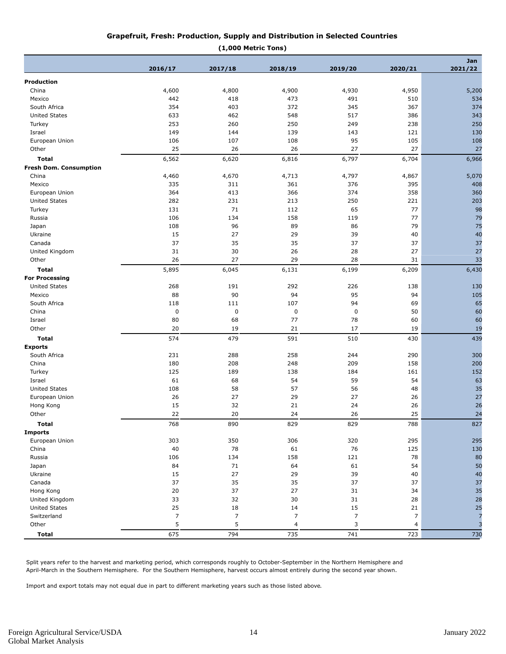#### **Grapefruit, Fresh: Production, Supply and Distribution in Selected Countries**

| pefruit, Fresh: Production, Supply and Distribution in Selected Countries |  |
|---------------------------------------------------------------------------|--|
|---------------------------------------------------------------------------|--|

| (1,000 Metric Tons)           |         |                |                  |                |                |                |
|-------------------------------|---------|----------------|------------------|----------------|----------------|----------------|
|                               | 2016/17 | 2017/18        | 2018/19          | 2019/20        | 2020/21        | Jan<br>2021/22 |
|                               |         |                |                  |                |                |                |
| Production                    |         |                |                  |                |                |                |
| China                         | 4,600   | 4,800          | 4,900            | 4,930          | 4,950          | 5,200          |
| Mexico                        | 442     | 418            | 473              | 491            | 510            | 534            |
| South Africa                  | 354     | 403            | 372              | 345            | 367            | 374            |
| <b>United States</b>          | 633     | 462            | 548              | 517            | 386            | 343            |
| Turkey                        | 253     | 260            | 250              | 249            | 238            | 250            |
| Israel                        | 149     | 144            | 139              | 143            | 121            | 130            |
| European Union                | 106     | 107            | 108              | 95             | 105            | 108            |
| Other                         | 25      | 26             | 26               | 27             | 27             | 27             |
| <b>Total</b>                  | 6,562   | 6,620          | 6,816            | 6,797          | 6,704          | 6,966          |
| <b>Fresh Dom. Consumption</b> |         |                |                  |                |                |                |
| China                         | 4,460   | 4,670          | 4,713            | 4,797          | 4,867          | 5,070          |
| Mexico                        | 335     | 311            | 361              | 376            | 395            | 408            |
| European Union                | 364     | 413            | 366              | 374            | 358            | 360            |
| <b>United States</b>          | 282     | 231            | 213              | 250            | 221            | 203            |
| Turkey                        | 131     | 71             | 112              | 65             | 77             | 98             |
| Russia                        | 106     | 134            | 158              | 119            | 77             | 79             |
| Japan                         | 108     | 96             | 89               | 86             | 79             | 75             |
| Ukraine                       | 15      | 27             | 29               | 39             | 40             | 40             |
| Canada                        | 37      | 35             | 35               | 37             | 37             | 37             |
| United Kingdom                | 31      | 30             | 26               | 28             | 27             | 27             |
| Other                         | 26      | 27             | 29               | 28             | 31             | 33             |
| <b>Total</b>                  | 5,895   | 6,045          | 6,131            | 6,199          | 6,209          | 6,430          |
| <b>For Processing</b>         |         |                |                  |                |                |                |
| <b>United States</b>          | 268     | 191            | 292              | 226            | 138            | 130            |
| Mexico                        | 88      | 90             | 94               | 95             | 94             | 105            |
| South Africa                  | 118     | 111            | 107              | 94             | 69             | 65             |
| China                         | 0       | $\pmb{0}$      | $\pmb{0}$        | $\pmb{0}$      | 50             | 60             |
| Israel                        | 80      | 68             | 77               | 78             | 60             | 60             |
| Other                         | 20      | 19             | 21               | 17             | 19             | 19             |
| <b>Total</b>                  | 574     | 479            | 591              | 510            | 430            | 439            |
|                               |         |                |                  |                |                |                |
| <b>Exports</b>                |         |                |                  |                |                |                |
| South Africa                  | 231     | 288            | 258              | 244            | 290            | 300            |
| China                         | 180     | 208            | 248              | 209            | 158            | 200            |
| Turkey                        | 125     | 189            | 138              | 184            | 161            | 152            |
| Israel                        | 61      | 68             | 54               | 59             | 54             | 63             |
| <b>United States</b>          | 108     | 58             | 57               | 56             | 48             | 35             |
| European Union                | 26      | 27             | 29               | 27             | 26             | 27             |
| Hong Kong                     | 15      | 32             | 21               | 24             | 26             | 26             |
| Other                         | 22      | 20             | 24               | 26             | 25             | 24             |
| Total                         | 768     | 890            | 829              | 829            | 788            | 827            |
| <b>Imports</b>                |         |                |                  |                |                |                |
| European Union                | 303     | 350            | 306              | 320            | 295            | 295            |
| China                         | 40      | 78             | 61               | 76             | 125            | 130            |
| Russia                        | 106     | 134            | 158              | 121            | 78             | 80             |
| Japan                         | 84      | 71             | 64               | 61             | 54             | 50             |
| Ukraine                       | 15      | 27             | 29               | 39             | 40             | 40             |
| Canada                        | 37      | 35             | 35               | 37             | 37             | 37             |
| Hong Kong                     | 20      | 37             | 27               | 31             | 34             | 35             |
| United Kingdom                | 33      | 32             | $30\,$           | $31\,$         | 28             | 28             |
| <b>United States</b>          | 25      | 18             | 14               | 15             | 21             | 25             |
| Switzerland                   | 7       | $\overline{7}$ | $\boldsymbol{7}$ | $\overline{7}$ | 7              | $\overline{7}$ |
| Other                         | 5       | 5              | $\overline{4}$   | 3              | $\overline{4}$ | 3              |
| <b>Total</b>                  | 675     | 794            | 735              | 741            | 723            | 730            |

Split years refer to the harvest and marketing period, which corresponds roughly to October-September in the Northern Hemisphere and April-March in the Southern Hemisphere. For the Southern Hemisphere, harvest occurs almost entirely during the second year shown.